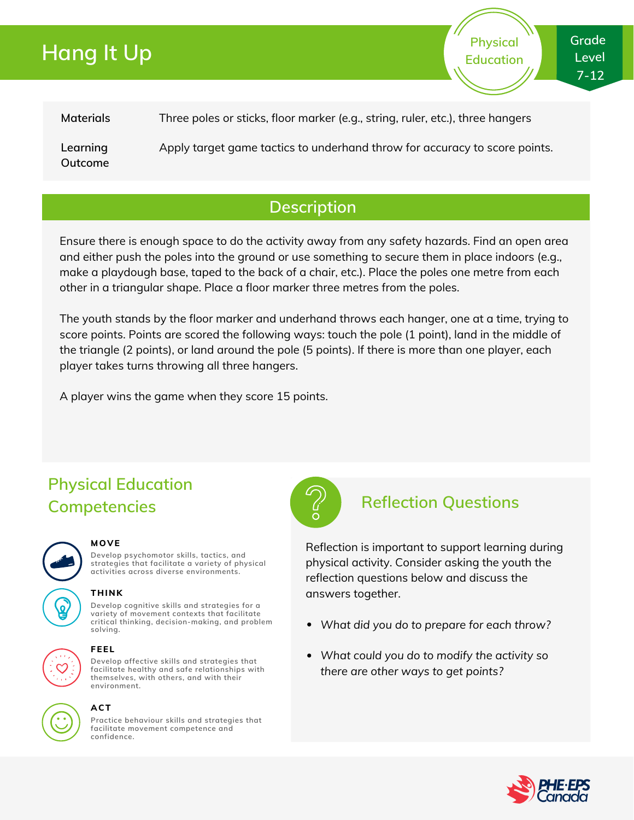# **Hang It Up**

**Physical Education**

**Materials** Three poles or sticks, floor marker (e.g., string, ruler, etc.), three hangers

**Learning Outcome** Apply target game tactics to underhand throw for accuracy to score points.

## **Description**

Ensure there is enough space to do the activity away from any safety hazards. Find an open area and either push the poles into the ground or use something to secure them in place indoors (e.g., make a playdough base, taped to the back of a chair, etc.). Place the poles one metre from each other in a triangular shape. Place a floor marker three metres from the poles.

The youth stands by the floor marker and underhand throws each hanger, one at a time, trying to score points. Points are scored the following ways: touch the pole (1 point), land in the middle of the triangle (2 points), or land around the pole (5 points). If there is more than one player, each player takes turns throwing all three hangers.

A player wins the game when they score 15 points.

# **Physical Education Competencies Reflection Questions**



#### **MOVE**

**Develop psychomotor skills, tactics, and strategies that facilitate a variety of physical activities across diverse environments.**

### **THINK**

**Develop cognitive skills and strategies for a variety of movement contexts that facilitate critical thinking, decision-making, and problem solving.**



#### **FEEL**

**Develop affective skills and strategies that facilitate healthy and safe relationships with themselves, with others, and with their environment.**



#### **ACT**

**Practice behaviour skills and strategies that facilitate movement competence and confidence.**



Reflection is important to support learning during physical activity. Consider asking the youth the reflection questions below and discuss the answers together.

- *What did you do to prepare for each throw?*
- *What could you do to modify the activity so there are other ways to get points?*